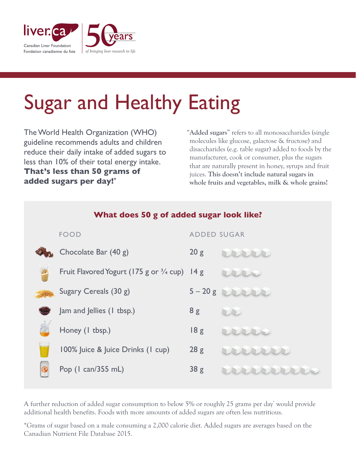

## Sugar and Healthy Eating

The World Health Organization (WHO) guideline recommends adults and children reduce their daily intake of added sugars to less than 10% of their total energy intake. **That's less than 50 grams of added sugars per day!\***

"**Added sugars**" refers to all monosaccharides (single molecules like glucose, galactose & fructose) and disaccharides (e.g. table sugar) added to foods by the manufacturer, cook or consumer, plus the sugars that are naturally present in honey, syrups and fruit juices. **This doesn't include natural sugars in whole fruits and vegetables, milk & whole grains!**

| What does 50 g of added sugar look like? |                                                         |                    |          |
|------------------------------------------|---------------------------------------------------------|--------------------|----------|
|                                          | <b>FOOD</b>                                             | <b>ADDED SUGAR</b> |          |
|                                          | Chocolate Bar (40 g)                                    | 20 g               |          |
|                                          | Fruit Flavored Yogurt (175 g or $\frac{3}{4}$ cup) 14 g |                    |          |
|                                          | Sugary Cereals (30 g)                                   |                    | $5-20 g$ |
|                                          | Jam and Jellies (1 tbsp.)                               | 8g                 |          |
|                                          | Honey (1 tbsp.)                                         | 18g                |          |
|                                          | 100% Juice & Juice Drinks (1 cup)                       | 28g                |          |
|                                          | Pop (1 can/355 mL)                                      | 38g                |          |

A further reduction of added sugar consumption to below 5% or roughly 25 grams per day<sup>\*</sup> would provide additional health benefits. Foods with more amounts of added sugars are often less nutritious.

\*Grams of sugar based on a male consuming a 2,000 calorie diet. Added sugars are averages based on the Canadian Nutrient File Database 2015.